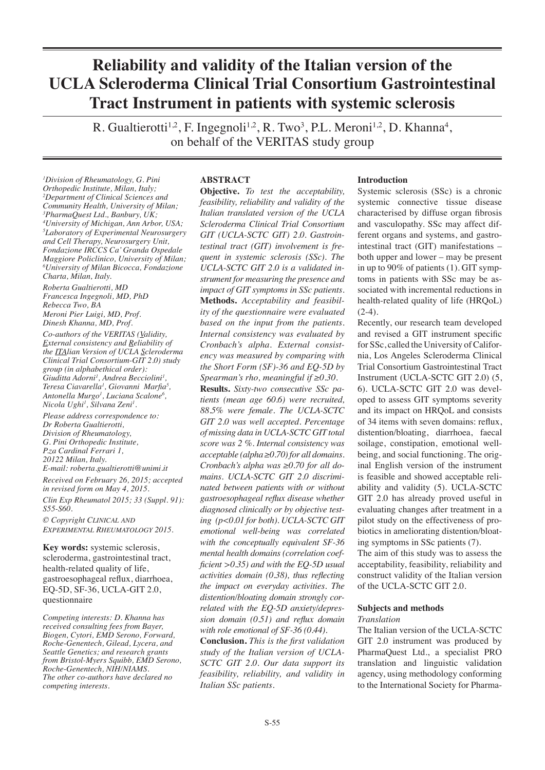# **Reliability and validity of the Italian version of the UCLA Scleroderma Clinical Trial Consortium Gastrointestinal Tract Instrument in patients with systemic sclerosis**

R. Gualtierotti<sup>1,2</sup>, F. Ingegnoli<sup>1,2</sup>, R. Two<sup>3</sup>, P.L. Meroni<sup>1,2</sup>, D. Khanna<sup>4</sup>, on behalf of the VERITAS study group

*1 Division of Rheumatology, G. Pini Orthopedic Institute, Milan, Italy; 2 Department of Clinical Sciences and Community Health, University of Milan; 3 PharmaQuest Ltd., Banbury, UK; 4 University of Michigan, Ann Arbor, USA; 5 Laboratory of Experimental Neurosurgery and Cell Therapy, Neurosurgery Unit, Fondazione IRCCS Ca' Granda Ospedale Maggiore Policlinico, University of Milan; 6 University of Milan Bicocca, Fondazione Charta, Milan, Italy.*

*Roberta Gualtierotti, MD Francesca Ingegnoli, MD, PhD Rebecca Two, BA Meroni Pier Luigi, MD, Prof.*

*Dinesh Khanna, MD, Prof.*

*Co-authors of the VERITAS (Validity, External consistency and Reliability of the ITAlian Version of UCLA Scleroderma Clinical Trial Consortium-GIT 2.0) study group (in alphabethical order): Giuditta Adorni1 , Andrea Becciolini1 , Teresa Ciavarella1 , Giovanni Marfia<sup>5</sup> , Antonella Murgo1 , Luciana Scalone6 , Nicola Ughi1 , Silvana Zeni1 .*

*Please address correspondence to: Dr Roberta Gualtierotti, Division of Rheumatology, G. Pini Orthopedic Institute, P.za Cardinal Ferrari 1, 20122 Milan, Italy. E-mail: roberta.gualtierotti@unimi.it*

*Received on February 26, 2015; accepted in revised form on May 4, 2015. Clin Exp Rheumatol 2015; 33 (Suppl. 91): S55-S60.*

*© Copyright Clinical and Experimental Rheumatology 2015.*

**Key words:** systemic sclerosis, scleroderma, gastrointestinal tract, health-related quality of life, gastroesophageal reflux, diarrhoea, EQ-5D, SF-36, UCLA-GIT 2.0, questionnaire

*Competing interests: D. Khanna has received consulting fees from Bayer, Biogen, Cytori, EMD Serono, Forward, Roche-Genentech, Gilead, Lycera, and Seattle Genetics; and research grants from Bristol-Myers Squibb, EMD Serono, Roche-Genentech, NIH/NIAMS. The other co-authors have declared no competing interests.*

## **ABSTRACT**

**Objective.** *To test the acceptability, feasibility, reliability and validity of the Italian translated version of the UCLA Scleroderma Clinical Trial Consortium GIT (UCLA-SCTC GIT) 2.0. Gastrointestinal tract (GIT) involvement is frequent in systemic sclerosis (SSc). The UCLA-SCTC GIT 2.0 is a validated instrument for measuring the presence and impact of GIT symptoms in SSc patients.* **Methods.** *Acceptability and feasibility of the questionnaire were evaluated based on the input from the patients. Internal consistency was evaluated by Cronbach's alpha. External consistency was measured by comparing with the Short Form (SF)-36 and EQ-5D by Spearman's rho, meaningful if ≥0.30.* **Results.** *Sixty-two consecutive SSc patients (mean age 60.6) were recruited, 88.5% were female. The UCLA-SCTC GIT 2.0 was well accepted. Percentage of missing data in UCLA-SCTC GIT total score was 2 %. Internal consistency was acceptable (alpha ≥0.70) for all domains. Cronbach's alpha was ≥0.70 for all domains. UCLA-SCTC GIT 2.0 discriminated between patients with or without gastroesophageal reflux disease whether diagnosed clinically or by objective testing (p<0.01 for both). UCLA-SCTC GIT emotional well-being was correlated with the conceptually equivalent SF-36 mental health domains (correlation coefficient >0.35) and with the EQ-5D usual activities domain (0.38), thus reflecting the impact on everyday activities. The distention/bloating domain strongly correlated with the EQ-5D anxiety/depression domain (0.51) and reflux domain with role emotional of SF-36 (0.44).*

**Conclusion.** *This is the first validation study of the Italian version of UCLA-SCTC GIT 2.0. Our data support its feasibility, reliability, and validity in Italian SSc patients.*

## **Introduction**

Systemic sclerosis (SSc) is a chronic systemic connective tissue disease characterised by diffuse organ fibrosis and vasculopathy. SSc may affect different organs and systems, and gastrointestinal tract (GIT) manifestations – both upper and lower – may be present in up to 90% of patients (1). GIT symptoms in patients with SSc may be associated with incremental reductions in health-related quality of life (HRQoL)  $(2-4)$ .

Recently, our research team developed and revised a GIT instrument specific for SSc, called the University of California, Los Angeles Scleroderma Clinical Trial Consortium Gastrointestinal Tract Instrument (UCLA-SCTC GIT 2.0) (5, 6). UCLA-SCTC GIT 2.0 was developed to assess GIT symptoms severity and its impact on HRQoL and consists of 34 items with seven domains: reflux, distention/bloating, diarrhoea, faecal soilage, constipation, emotional wellbeing, and social functioning. The original English version of the instrument is feasible and showed acceptable reliability and validity (5). UCLA-SCTC GIT 2.0 has already proved useful in evaluating changes after treatment in a pilot study on the effectiveness of probiotics in ameliorating distention/bloating symptoms in SSc patients (7).

The aim of this study was to assess the acceptability, feasibility, reliability and construct validity of the Italian version of the UCLA-SCTC GIT 2.0.

## **Subjects and methods**

## *Translation*

The Italian version of the UCLA-SCTC GIT 2.0 instrument was produced by PharmaQuest Ltd., a specialist PRO translation and linguistic validation agency, using methodology conforming to the International Society for Pharma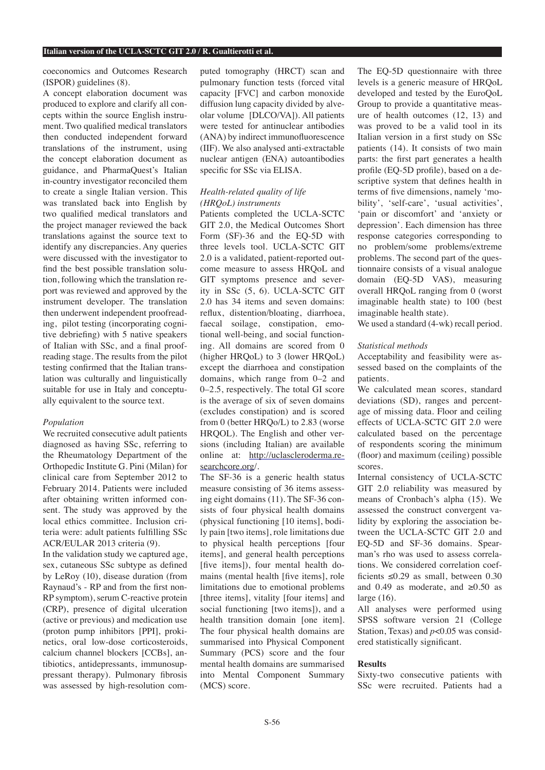coeconomics and Outcomes Research (ISPOR) guidelines (8).

A concept elaboration document was produced to explore and clarify all concepts within the source English instrument. Two qualified medical translators then conducted independent forward translations of the instrument, using the concept elaboration document as guidance, and PharmaQuest's Italian in-country investigator reconciled them to create a single Italian version. This was translated back into English by two qualified medical translators and the project manager reviewed the back translations against the source text to identify any discrepancies. Any queries were discussed with the investigator to find the best possible translation solution, following which the translation report was reviewed and approved by the instrument developer. The translation then underwent independent proofreading, pilot testing (incorporating cognitive debriefing) with 5 native speakers of Italian with SSc, and a final proofreading stage. The results from the pilot testing confirmed that the Italian translation was culturally and linguistically suitable for use in Italy and conceptually equivalent to the source text.

### *Population*

We recruited consecutive adult patients diagnosed as having SSc, referring to the Rheumatology Department of the Orthopedic Institute G. Pini (Milan) for clinical care from September 2012 to February 2014. Patients were included after obtaining written informed consent. The study was approved by the local ethics committee. Inclusion criteria were: adult patients fulfilling SSc ACR/EULAR 2013 criteria (9).

In the validation study we captured age, sex, cutaneous SSc subtype as defined by LeRoy (10), disease duration (from Raynaud's - RP and from the first non-RP symptom), serum C-reactive protein (CRP), presence of digital ulceration (active or previous) and medication use (proton pump inhibitors [PPI], prokinetics, oral low-dose corticosteroids, calcium channel blockers [CCBs], antibiotics, antidepressants, immunosuppressant therapy). Pulmonary fibrosis was assessed by high-resolution computed tomography (HRCT) scan and pulmonary function tests (forced vital capacity [FVC] and carbon monoxide diffusion lung capacity divided by alveolar volume [DLCO/VA]). All patients were tested for antinuclear antibodies (ANA) by indirect immunofluorescence (IIF). We also analysed anti-extractable nuclear antigen (ENA) autoantibodies specific for SSc via ELISA.

## *Health-related quality of life (HRQoL) instruments*

Patients completed the UCLA-SCTC GIT 2.0, the Medical Outcomes Short Form (SF)-36 and the EQ-5D with three levels tool. UCLA-SCTC GIT 2.0 is a validated, patient-reported outcome measure to assess HRQoL and GIT symptoms presence and severity in SSc (5, 6). UCLA-SCTC GIT 2.0 has 34 items and seven domains: reflux, distention/bloating, diarrhoea, faecal soilage, constipation, emotional well-being, and social functioning. All domains are scored from 0 (higher HROoL) to 3 (lower HROoL) except the diarrhoea and constipation domains, which range from 0–2 and 0–2.5, respectively. The total GI score is the average of six of seven domains (excludes constipation) and is scored from 0 (better HRQo/L) to 2.83 (worse HRQOL). The English and other versions (including Italian) are available online at: http://uclascleroderma.researchcore.org/.

The SF-36 is a generic health status measure consisting of 36 items assessing eight domains (11). The SF-36 consists of four physical health domains (physical functioning [10 items], bodily pain [two items], role limitations due to physical health perceptions [four items], and general health perceptions [five items]), four mental health domains (mental health [five items], role limitations due to emotional problems [three items], vitality [four items] and social functioning [two items]), and a health transition domain [one item]. The four physical health domains are summarised into Physical Component Summary (PCS) score and the four mental health domains are summarised into Mental Component Summary (MCS) score.

The EQ-5D questionnaire with three levels is a generic measure of HRQoL developed and tested by the EuroQoL Group to provide a quantitative measure of health outcomes (12, 13) and was proved to be a valid tool in its Italian version in a first study on SSc patients (14). It consists of two main parts: the first part generates a health profile (EQ-5D profile), based on a descriptive system that defines health in terms of five dimensions, namely 'mobility', 'self-care', 'usual activities', 'pain or discomfort' and 'anxiety or depression'. Each dimension has three response categories corresponding to no problem/some problems/extreme problems. The second part of the questionnaire consists of a visual analogue domain (EQ-5D VAS), measuring overall HRQoL ranging from 0 (worst imaginable health state) to 100 (best imaginable health state).

We used a standard (4-wk) recall period.

### *Statistical methods*

Acceptability and feasibility were assessed based on the complaints of the patients.

We calculated mean scores, standard deviations (SD), ranges and percentage of missing data. Floor and ceiling effects of UCLA-SCTC GIT 2.0 were calculated based on the percentage of respondents scoring the minimum (floor) and maximum (ceiling) possible scores.

Internal consistency of UCLA-SCTC GIT 2.0 reliability was measured by means of Cronbach's alpha (15). We assessed the construct convergent validity by exploring the association between the UCLA-SCTC GIT 2.0 and EQ-5D and SF-36 domains. Spearman's rho was used to assess correlations. We considered correlation coefficients  $\leq 0.29$  as small, between 0.30 and 0.49 as moderate, and  $\geq 0.50$  as large (16).

All analyses were performed using SPSS software version 21 (College Station, Texas) and *p*<0.05 was considered statistically significant.

## **Results**

Sixty-two consecutive patients with SSc were recruited. Patients had a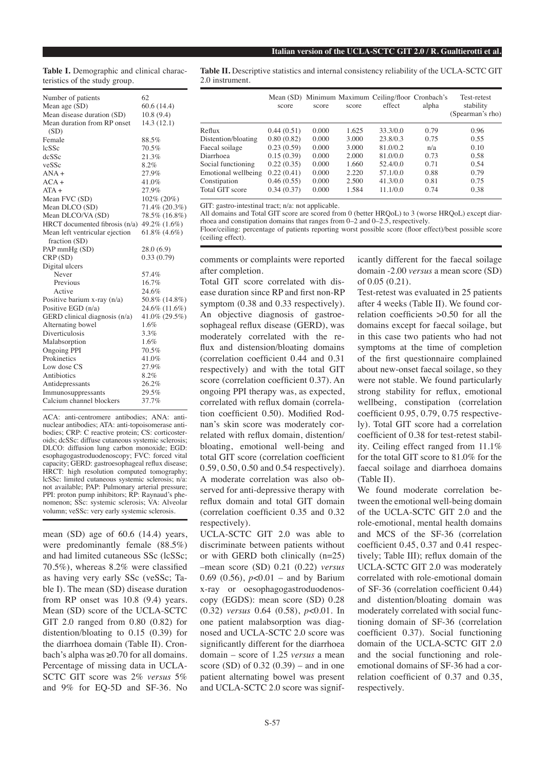**Table I.** Demographic and clinical characteristics of the study group.

| Mean age (SD)<br>60.6(14.4)<br>Mean disease duration (SD)<br>10.8(9.4)<br>Mean duration from RP onset<br>14.3(12.1)<br>(SD)<br>88.5%<br>Female<br>70.5%<br>lcSSc<br>21.3%<br>dcSSc<br>8.2%<br>veSSc<br>$ANA +$<br>27.9%<br>$ACA +$<br>41.0%<br>$ATA +$<br>27.9%<br>Mean FVC (SD)<br>$102\% (20\%)$<br>Mean DLCO (SD)<br>71.4% (20.3%)<br>Mean DLCO/VA (SD)<br>78.5% (16.8%)<br>HRCT documented fibrosis $(n/a)$<br>49.2% (1.6%)<br>Mean left ventricular ejection<br>$61.8\%$ $(4.6\%)$<br>fraction (SD)<br>PAP mmHg (SD)<br>28.0(6.9)<br>0.33(0.79)<br>CRP(SD)<br>Digital ulcers<br>Never<br>57.4%<br>16.7%<br>Previous<br>24.6%<br>Active<br>50.8% (14.8%)<br>Positive barium $x$ -ray $(n/a)$<br>24.6% (11.6%)<br>Positive EGD (n/a)<br>GERD clinical diagnosis (n/a)<br>41.0% (29.5%)<br>1.6%<br>Alternating bowel<br>Diverticulosis<br>3.3%<br>1.6%<br>Malabsorption<br><b>Ongoing PPI</b><br>70.5%<br>Prokinetics<br>41.0%<br>Low dose CS<br>27.9%<br>Antibiotics<br>8.2%<br>26.2%<br>Antidepressants<br>29.5%<br>Immunosuppressants<br>37.7%<br>Calcium channel blockers | Number of patients | 62 |
|---------------------------------------------------------------------------------------------------------------------------------------------------------------------------------------------------------------------------------------------------------------------------------------------------------------------------------------------------------------------------------------------------------------------------------------------------------------------------------------------------------------------------------------------------------------------------------------------------------------------------------------------------------------------------------------------------------------------------------------------------------------------------------------------------------------------------------------------------------------------------------------------------------------------------------------------------------------------------------------------------------------------------------------------------------------------------------|--------------------|----|
|                                                                                                                                                                                                                                                                                                                                                                                                                                                                                                                                                                                                                                                                                                                                                                                                                                                                                                                                                                                                                                                                                 |                    |    |
|                                                                                                                                                                                                                                                                                                                                                                                                                                                                                                                                                                                                                                                                                                                                                                                                                                                                                                                                                                                                                                                                                 |                    |    |
|                                                                                                                                                                                                                                                                                                                                                                                                                                                                                                                                                                                                                                                                                                                                                                                                                                                                                                                                                                                                                                                                                 |                    |    |
|                                                                                                                                                                                                                                                                                                                                                                                                                                                                                                                                                                                                                                                                                                                                                                                                                                                                                                                                                                                                                                                                                 |                    |    |
|                                                                                                                                                                                                                                                                                                                                                                                                                                                                                                                                                                                                                                                                                                                                                                                                                                                                                                                                                                                                                                                                                 |                    |    |
|                                                                                                                                                                                                                                                                                                                                                                                                                                                                                                                                                                                                                                                                                                                                                                                                                                                                                                                                                                                                                                                                                 |                    |    |
|                                                                                                                                                                                                                                                                                                                                                                                                                                                                                                                                                                                                                                                                                                                                                                                                                                                                                                                                                                                                                                                                                 |                    |    |
|                                                                                                                                                                                                                                                                                                                                                                                                                                                                                                                                                                                                                                                                                                                                                                                                                                                                                                                                                                                                                                                                                 |                    |    |
|                                                                                                                                                                                                                                                                                                                                                                                                                                                                                                                                                                                                                                                                                                                                                                                                                                                                                                                                                                                                                                                                                 |                    |    |
|                                                                                                                                                                                                                                                                                                                                                                                                                                                                                                                                                                                                                                                                                                                                                                                                                                                                                                                                                                                                                                                                                 |                    |    |
|                                                                                                                                                                                                                                                                                                                                                                                                                                                                                                                                                                                                                                                                                                                                                                                                                                                                                                                                                                                                                                                                                 |                    |    |
|                                                                                                                                                                                                                                                                                                                                                                                                                                                                                                                                                                                                                                                                                                                                                                                                                                                                                                                                                                                                                                                                                 |                    |    |
|                                                                                                                                                                                                                                                                                                                                                                                                                                                                                                                                                                                                                                                                                                                                                                                                                                                                                                                                                                                                                                                                                 |                    |    |
|                                                                                                                                                                                                                                                                                                                                                                                                                                                                                                                                                                                                                                                                                                                                                                                                                                                                                                                                                                                                                                                                                 |                    |    |
|                                                                                                                                                                                                                                                                                                                                                                                                                                                                                                                                                                                                                                                                                                                                                                                                                                                                                                                                                                                                                                                                                 |                    |    |
|                                                                                                                                                                                                                                                                                                                                                                                                                                                                                                                                                                                                                                                                                                                                                                                                                                                                                                                                                                                                                                                                                 |                    |    |
|                                                                                                                                                                                                                                                                                                                                                                                                                                                                                                                                                                                                                                                                                                                                                                                                                                                                                                                                                                                                                                                                                 |                    |    |
|                                                                                                                                                                                                                                                                                                                                                                                                                                                                                                                                                                                                                                                                                                                                                                                                                                                                                                                                                                                                                                                                                 |                    |    |
|                                                                                                                                                                                                                                                                                                                                                                                                                                                                                                                                                                                                                                                                                                                                                                                                                                                                                                                                                                                                                                                                                 |                    |    |
|                                                                                                                                                                                                                                                                                                                                                                                                                                                                                                                                                                                                                                                                                                                                                                                                                                                                                                                                                                                                                                                                                 |                    |    |
|                                                                                                                                                                                                                                                                                                                                                                                                                                                                                                                                                                                                                                                                                                                                                                                                                                                                                                                                                                                                                                                                                 |                    |    |
|                                                                                                                                                                                                                                                                                                                                                                                                                                                                                                                                                                                                                                                                                                                                                                                                                                                                                                                                                                                                                                                                                 |                    |    |
|                                                                                                                                                                                                                                                                                                                                                                                                                                                                                                                                                                                                                                                                                                                                                                                                                                                                                                                                                                                                                                                                                 |                    |    |
|                                                                                                                                                                                                                                                                                                                                                                                                                                                                                                                                                                                                                                                                                                                                                                                                                                                                                                                                                                                                                                                                                 |                    |    |
|                                                                                                                                                                                                                                                                                                                                                                                                                                                                                                                                                                                                                                                                                                                                                                                                                                                                                                                                                                                                                                                                                 |                    |    |
|                                                                                                                                                                                                                                                                                                                                                                                                                                                                                                                                                                                                                                                                                                                                                                                                                                                                                                                                                                                                                                                                                 |                    |    |
|                                                                                                                                                                                                                                                                                                                                                                                                                                                                                                                                                                                                                                                                                                                                                                                                                                                                                                                                                                                                                                                                                 |                    |    |
|                                                                                                                                                                                                                                                                                                                                                                                                                                                                                                                                                                                                                                                                                                                                                                                                                                                                                                                                                                                                                                                                                 |                    |    |
|                                                                                                                                                                                                                                                                                                                                                                                                                                                                                                                                                                                                                                                                                                                                                                                                                                                                                                                                                                                                                                                                                 |                    |    |
|                                                                                                                                                                                                                                                                                                                                                                                                                                                                                                                                                                                                                                                                                                                                                                                                                                                                                                                                                                                                                                                                                 |                    |    |
|                                                                                                                                                                                                                                                                                                                                                                                                                                                                                                                                                                                                                                                                                                                                                                                                                                                                                                                                                                                                                                                                                 |                    |    |
|                                                                                                                                                                                                                                                                                                                                                                                                                                                                                                                                                                                                                                                                                                                                                                                                                                                                                                                                                                                                                                                                                 |                    |    |
|                                                                                                                                                                                                                                                                                                                                                                                                                                                                                                                                                                                                                                                                                                                                                                                                                                                                                                                                                                                                                                                                                 |                    |    |
|                                                                                                                                                                                                                                                                                                                                                                                                                                                                                                                                                                                                                                                                                                                                                                                                                                                                                                                                                                                                                                                                                 |                    |    |
|                                                                                                                                                                                                                                                                                                                                                                                                                                                                                                                                                                                                                                                                                                                                                                                                                                                                                                                                                                                                                                                                                 |                    |    |

ACA: anti-centromere antibodies; ANA: antinuclear antibodies; ATA: anti-topoisomerase antibodies; CRP: C reactive protein; CS: corticosteroids; dcSSc: diffuse cutaneous systemic sclerosis; DLCO: diffusion lung carbon monoxide; EGD: esophagogastroduodenoscopy; FVC: forced vital capacity; GERD: gastroesophageal reflux disease; HRCT: high resolution computed tomography; lcSSc: limited cutaneous systemic sclerosis; n/a: not available; PAP: Pulmonary arterial pressure; PPI: proton pump inhibitors; RP: Raynaud's phenomenon; SSc: systemic sclerosis; VA: Alveolar volumn; veSSc: very early systemic sclerosis.

mean (SD) age of 60.6 (14.4) years, were predominantly female (88.5%) and had limited cutaneous SSc (lcSSc; 70.5%), whereas 8.2% were classified as having very early SSc (veSSc; Table I). The mean (SD) disease duration from RP onset was 10.8 (9.4) years. Mean (SD) score of the UCLA-SCTC GIT 2.0 ranged from 0.80 (0.82) for distention/bloating to 0.15 (0.39) for the diarrhoea domain (Table II). Cronbach's alpha was ≥0.70 for all domains. Percentage of missing data in UCLA-SCTC GIT score was 2% *versus* 5% and 9% for EQ-5D and SF-36. No

**Table II.** Descriptive statistics and internal consistency reliability of the UCLA-SCTC GIT 2.0 instrument.

|                     | score      | score | score | Mean (SD) Minimum Maximum Ceiling/floor Cronbach's<br>effect | alpha | Test-retest<br>stability<br>(Spearman's rho) |
|---------------------|------------|-------|-------|--------------------------------------------------------------|-------|----------------------------------------------|
| Reflux              | 0.44(0.51) | 0.000 | 1.625 | 33.3/0.0                                                     | 0.79  | 0.96                                         |
| Distention/bloating | 0.80(0.82) | 0.000 | 3.000 | 23.8/0.3                                                     | 0.75  | 0.55                                         |
| Faecal soilage      | 0.23(0.59) | 0.000 | 3.000 | 81.0/0.2                                                     | n/a   | 0.10                                         |
| Diarrhoea           | 0.15(0.39) | 0.000 | 2.000 | 81.0/0.0                                                     | 0.73  | 0.58                                         |
| Social functioning  | 0.22(0.35) | 0.000 | 1.660 | 52.4/0.0                                                     | 0.71  | 0.54                                         |
| Emotional wellbeing | 0.22(0.41) | 0.000 | 2.220 | 57.1/0.0                                                     | 0.88  | 0.79                                         |
| Constipation        | 0.46(0.55) | 0.000 | 2.500 | 41.3/0.0                                                     | 0.81  | 0.75                                         |
| Total GIT score     | 0.34(0.37) | 0.000 | 1.584 | 11.1/0.0                                                     | 0.74  | 0.38                                         |

GIT: gastro-intestinal tract; n/a: not applicable.

All domains and Total GIT score are scored from 0 (better HRQoL) to 3 (worse HRQoL) except diarrhoea and constipation domains that ranges from  $0-\hat{2}$  and  $0-\hat{2}$ , respectively.

Floor/ceiling: percentage of patients reporting worst possible score (floor effect)/best possible score (ceiling effect).

comments or complaints were reported after completion.

Total GIT score correlated with disease duration since RP and first non-RP symptom (0.38 and 0.33 respectively). An objective diagnosis of gastroesophageal reflux disease (GERD), was moderately correlated with the reflux and distension/bloating domains (correlation coefficient 0.44 and 0.31 respectively) and with the total GIT score (correlation coefficient 0.37). An ongoing PPI therapy was, as expected, correlated with reflux domain (correlation coefficient 0.50). Modified Rodnan's skin score was moderately correlated with reflux domain, distention/ bloating, emotional well-being and total GIT score (correlation coefficient 0.59, 0.50, 0.50 and 0.54 respectively). A moderate correlation was also observed for anti-depressive therapy with reflux domain and total GIT domain (correlation coefficient 0.35 and 0.32 respectively).

UCLA-SCTC GIT 2.0 was able to discriminate between patients without or with GERD both clinically (n=25) –mean score (SD) 0.21 (0.22) *versus* 0.69 (0.56), *p*<0.01 – and by Barium x-ray or oesophagogastroduodenoscopy (EGDS): mean score (SD) 0.28 (0.32) *versus* 0.64 (0.58), *p*<0.01. In one patient malabsorption was diagnosed and UCLA-SCTC 2.0 score was significantly different for the diarrhoea domain – score of 1.25 *versus* a mean score (SD) of 0.32 (0.39) – and in one patient alternating bowel was present and UCLA-SCTC 2.0 score was significantly different for the faecal soilage domain -2.00 *versus* a mean score (SD) of 0.05 (0.21).

Test-retest was evaluated in 25 patients after 4 weeks (Table II). We found correlation coefficients >0.50 for all the domains except for faecal soilage, but in this case two patients who had not symptoms at the time of completion of the first questionnaire complained about new-onset faecal soilage, so they were not stable. We found particularly strong stability for reflux, emotional wellbeing, constipation (correlation coefficient 0.95, 0.79, 0.75 respectively). Total GIT score had a correlation coefficient of 0.38 for test-retest stability. Ceiling effect ranged from 11.1% for the total GIT score to 81.0% for the faecal soilage and diarrhoea domains (Table II).

We found moderate correlation between the emotional well-being domain of the UCLA-SCTC GIT 2.0 and the role-emotional, mental health domains and MCS of the SF-36 (correlation coefficient 0.45, 0.37 and 0.41 respectively; Table III); reflux domain of the UCLA-SCTC GIT 2.0 was moderately correlated with role-emotional domain of SF-36 (correlation coefficient 0.44) and distention/bloating domain was moderately correlated with social functioning domain of SF-36 (correlation coefficient 0.37). Social functioning domain of the UCLA-SCTC GIT 2.0 and the social functioning and roleemotional domains of SF-36 had a correlation coefficient of 0.37 and 0.35, respectively.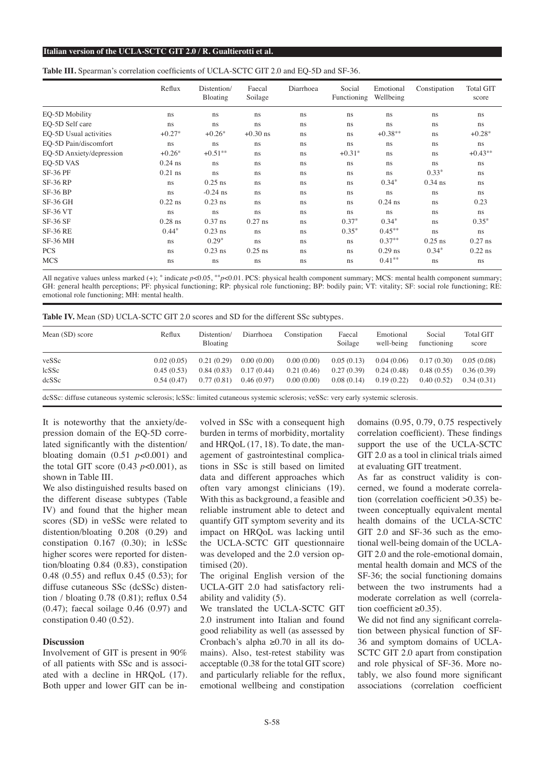#### **Italian version of the UCLA-SCTC GIT 2.0 / R. Gualtierotti et al.**

| <b>Table III.</b> Spearman's correlation coefficients of UCLA-SCTC GIT 2.0 and EQ-5D and SF-36. |  |  |
|-------------------------------------------------------------------------------------------------|--|--|
|-------------------------------------------------------------------------------------------------|--|--|

|                          | Reflux        | Distention/<br><b>Bloating</b> | Faecal<br>Soilage | Diarrhoea     | Social<br>Functioning | Emotional<br>Wellbeing | Constipation  | <b>Total GIT</b><br>score |
|--------------------------|---------------|--------------------------------|-------------------|---------------|-----------------------|------------------------|---------------|---------------------------|
| EQ-5D Mobility           | ns            | ns                             | ns                | ns            | ns                    | ns                     | ns            | ns                        |
| EO-5D Self care          | <sub>ns</sub> | ns                             | ns                | ns            | ns                    | ns                     | ns            | ns.                       |
| EO-5D Usual activities   | $+0.27*$      | $+0.26*$                       | $+0.30$ ns        | <sub>ns</sub> | ns                    | $+0.38**$              | ns            | $+0.28*$                  |
| EQ-5D Pain/discomfort    | <sub>ns</sub> | ns                             | ns                | ns            | ns                    | ns                     | ns            | ns                        |
| EQ-5D Anxiety/depression | $+0.26*$      | $+0.51**$                      | <sub>ns</sub>     | <sub>ns</sub> | $+0.31*$              | <sub>ns</sub>          | ns.           | $+0.43**$                 |
| EO-5D VAS                | $0.24$ ns     | ns.                            | ns                | ns            | ns                    | ns                     | <sub>ns</sub> | ns                        |
| <b>SF-36 PF</b>          | $0.21$ ns     | ns.                            | <sub>ns</sub>     | <sub>ns</sub> | ns                    | <sub>ns</sub>          | $0.33*$       | ns                        |
| <b>SF-36 RP</b>          | ns            | $0.25$ ns                      | <sub>ns</sub>     | <sub>ns</sub> | <sub>ns</sub>         | $0.34*$                | $0.34$ ns     | ns                        |
| $SF-36 BP$               | ns            | $-0.24$ ns                     | ns                | <sub>ns</sub> | ns                    | <sub>ns</sub>          | <sub>ns</sub> | ns                        |
| $SF-36$ GH               | $0.22$ ns     | $0.23$ ns                      | ns                | <sub>ns</sub> | ns.                   | $0.24$ ns              | <sub>ns</sub> | 0.23                      |
| <b>SF-36 VT</b>          | <sub>ns</sub> | ns                             | ns                | ns            | ns                    | ns                     | ns            | ns                        |
| $SF-36 SF$               | $0.28$ ns     | $0.37$ ns                      | $0.27$ ns         | <sub>ns</sub> | $0.37*$               | $0.34*$                | <sub>ns</sub> | $0.35*$                   |
| <b>SF-36 RE</b>          | $0.44*$       | $0.23$ ns                      | <sub>ns</sub>     | <sub>ns</sub> | $0.35*$               | $0.45***$              | <sub>ns</sub> | ns.                       |
| <b>SF-36 MH</b>          | <sub>ns</sub> | $0.29*$                        | ns                | <sub>ns</sub> | ns                    | $0.37**$               | $0.25$ ns     | $0.27$ ns                 |
| <b>PCS</b>               | <sub>ns</sub> | $0.23$ ns                      | $0.25$ ns         | <sub>ns</sub> | ns.                   | $0.29$ ns              | $0.34*$       | $0.22$ ns                 |
| <b>MCS</b>               | ns            | ns                             | ns                | ns            | ns                    | $0.41**$               | ns            | ns                        |

All negative values unless marked (+); \* indicate  $p<0.05$ , \*\* $p<0.01$ . PCS: physical health component summary; MCS: mental health component summary; GH: general health perceptions; PF: physical functioning; RP: physical role functioning; BP: bodily pain; VT: vitality; SF: social role functioning; RE: emotional role functioning; MH: mental health.

| Table IV. Mean (SD) UCLA-SCTC GIT 2.0 scores and SD for the different SSc subtypes. |  |
|-------------------------------------------------------------------------------------|--|
|-------------------------------------------------------------------------------------|--|

| Mean (SD) score | Reflux     | Distention/<br>Bloating | Diarrhoea  | Constipation | Faecal<br>Soilage | Emotional<br>well-being | Social<br>functioning | <b>Total GIT</b><br>score |
|-----------------|------------|-------------------------|------------|--------------|-------------------|-------------------------|-----------------------|---------------------------|
| veSSc           | 0.02(0.05) | 0.21(0.29)              | 0.00(0.00) | 0.00(0.00)   | 0.05(0.13)        | 0.04(0.06)              | 0.17(0.30)            | 0.05(0.08)                |
| lcSSc           | 0.45(0.53) | 0.84(0.83)              | 0.17(0.44) | 0.21(0.46)   | 0.27(0.39)        | 0.24(0.48)              | 0.48(0.55)            | 0.36(0.39)                |
| dcSSc           | 0.54(0.47) | 0.77(0.81)              | 0.46(0.97) | 0.00(0.00)   | 0.08(0.14)        | 0.19(0.22)              | 0.40(0.52)            | 0.34(0.31)                |

dcSSc: diffuse cutaneous systemic sclerosis; lcSSc: limited cutaneous systemic sclerosis; veSSc: very early systemic sclerosis.

It is noteworthy that the anxiety/depression domain of the EQ-5D correlated significantly with the distention/ bloating domain  $(0.51 \, p<0.001)$  and the total GIT score  $(0.43 \text{ } p<0.001)$ , as shown in Table III.

We also distinguished results based on the different disease subtypes (Table IV) and found that the higher mean scores (SD) in veSSc were related to distention/bloating 0.208 (0.29) and constipation 0.167 (0.30); in lcSSc higher scores were reported for distention/bloating 0.84 (0.83), constipation 0.48 (0.55) and reflux 0.45 (0.53); for diffuse cutaneous SSc (dcSSc) distention / bloating 0.78 (0.81); reflux 0.54 (0.47); faecal soilage 0.46 (0.97) and constipation 0.40 (0.52).

#### **Discussion**

Involvement of GIT is present in 90% of all patients with SSc and is associated with a decline in HRQoL (17). Both upper and lower GIT can be involved in SSc with a consequent high burden in terms of morbidity, mortality and HRQoL (17, 18). To date, the management of gastrointestinal complications in SSc is still based on limited data and different approaches which often vary amongst clinicians (19). With this as background, a feasible and reliable instrument able to detect and quantify GIT symptom severity and its impact on HRQoL was lacking until the UCLA-SCTC GIT questionnaire was developed and the 2.0 version optimised (20).

The original English version of the UCLA-GIT 2.0 had satisfactory reliability and validity (5).

We translated the UCLA-SCTC GIT 2.0 instrument into Italian and found good reliability as well (as assessed by Cronbach's alpha ≥0.70 in all its domains). Also, test-retest stability was acceptable (0.38 for the total GIT score) and particularly reliable for the reflux, emotional wellbeing and constipation domains (0.95, 0.79, 0.75 respectively correlation coefficient). These findings support the use of the UCLA-SCTC GIT 2.0 as a tool in clinical trials aimed at evaluating GIT treatment.

As far as construct validity is concerned, we found a moderate correlation (correlation coefficient >0.35) between conceptually equivalent mental health domains of the UCLA-SCTC GIT 2.0 and SF-36 such as the emotional well-being domain of the UCLA-GIT 2.0 and the role-emotional domain, mental health domain and MCS of the SF-36; the social functioning domains between the two instruments had a moderate correlation as well (correlation coefficient ≥0.35).

We did not find any significant correlation between physical function of SF-36 and symptom domains of UCLA-SCTC GIT 2.0 apart from constipation and role physical of SF-36. More notably, we also found more significant associations (correlation coefficient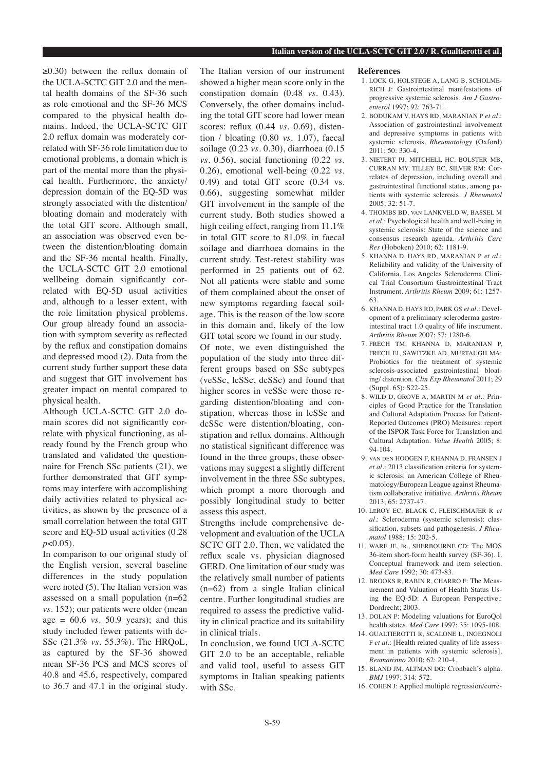≥0.30) between the reflux domain of the UCLA-SCTC GIT 2.0 and the mental health domains of the SF-36 such as role emotional and the SF-36 MCS compared to the physical health domains. Indeed, the UCLA-SCTC GIT 2.0 reflux domain was moderately correlated with SF-36 role limitation due to emotional problems, a domain which is part of the mental more than the physical health. Furthermore, the anxiety/ depression domain of the EQ-5D was strongly associated with the distention/ bloating domain and moderately with the total GIT score. Although small, an association was observed even between the distention/bloating domain and the SF-36 mental health. Finally, the UCLA-SCTC GIT 2.0 emotional wellbeing domain significantly correlated with EQ-5D usual activities and, although to a lesser extent, with the role limitation physical problems. Our group already found an association with symptom severity as reflected by the reflux and constipation domains and depressed mood (2). Data from the current study further support these data and suggest that GIT involvement has greater impact on mental compared to physical health.

Although UCLA-SCTC GIT 2.0 domain scores did not significantly correlate with physical functioning, as already found by the French group who translated and validated the questionnaire for French SSc patients (21), we further demonstrated that GIT symptoms may interfere with accomplishing daily activities related to physical activities, as shown by the presence of a small correlation between the total GIT score and EQ-5D usual activities (0.28 *p*<0.05).

In comparison to our original study of the English version, several baseline differences in the study population were noted (5). The Italian version was assessed on a small population (n=62 *vs.* 152); our patients were older (mean age = 60.6 *vs.* 50.9 years); and this study included fewer patients with dc-SSc (21.3% *vs.* 55.3%). The HRQoL, as captured by the SF-36 showed mean SF-36 PCS and MCS scores of 40.8 and 45.6, respectively, compared to 36.7 and 47.1 in the original study.

The Italian version of our instrument showed a higher mean score only in the constipation domain (0.48 *vs.* 0.43). Conversely, the other domains including the total GIT score had lower mean scores: reflux (0.44 *vs.* 0.69), distention / bloating (0.80 *vs.* 1.07), faecal soilage (0.23 *vs.* 0.30), diarrhoea (0.15 *vs.* 0.56), social functioning (0.22 *vs.* 0.26), emotional well-being (0.22 *vs.* 0.49) and total GIT score (0.34 vs. 0.66), suggesting somewhat milder GIT involvement in the sample of the current study. Both studies showed a high ceiling effect, ranging from 11.1% in total GIT score to 81.0% in faecal soilage and diarrhoea domains in the current study. Test-retest stability was performed in 25 patients out of 62. Not all patients were stable and some of them complained about the onset of new symptoms regarding faecal soilage. This is the reason of the low score in this domain and, likely of the low GIT total score we found in our study. Of note, we even distinguished the population of the study into three different groups based on SSc subtypes (veSSc, lcSSc, dcSSc) and found that higher scores in veSSc were those regarding distention/bloating and constipation, whereas those in lcSSc and dcSSc were distention/bloating, constipation and reflux domains. Although no statistical significant difference was found in the three groups, these observations may suggest a slightly different involvement in the three SSc subtypes, which prompt a more thorough and possibly longitudinal study to better assess this aspect.

Strengths include comprehensive development and evaluation of the UCLA SCTC GIT 2.0. Then, we validated the reflux scale vs. physician diagnosed GERD. One limitation of our study was the relatively small number of patients (n=62) from a single Italian clinical centre. Further longitudinal studies are required to assess the predictive validity in clinical practice and its suitability in clinical trials.

In conclusion, we found UCLA-SCTC GIT 2.0 to be an acceptable, reliable and valid tool, useful to assess GIT symptoms in Italian speaking patients with SSc.

#### **References**

- 1. LOCK G, HOLSTEGE A, LANG B, SCHOLME-RICH J: Gastrointestinal manifestations of progressive systemic sclerosis. *Am J Gastroenterol* 1997; 92: 763-71.
- 2. BODUKAM V, HAYS RD, MARANIAN P *et al.*: Association of gastrointestinal involvement and depressive symptoms in patients with systemic sclerosis. *Rheumatology* (Oxford) 2011; 50: 330-4.
- 3. NIETERT PJ, MITCHELL HC, BOLSTER MB, CURRAN MY, TILLEY BC, SILVER RM: Correlates of depression, including overall and gastrointestinal functional status, among patients with systemic sclerosis. *J Rheumatol*   $2005: 32: 51-7.$
- 4. THOMBS BD, van LANKVELD W, BASSEL M *et al.*: Psychological health and well-being in systemic sclerosis: State of the science and consensus research agenda. *Arthritis Care Res* (Hoboken) 2010; 62: 1181-9.
- 5. KHANNA D, HAYS RD, MARANIAN P *et al.*: Reliability and validity of the University of California, Los Angeles Scleroderma Clinical Trial Consortium Gastrointestinal Tract Instrument. *Arthritis Rheum* 2009; 61: 1257- 63.
- 6. KHANNA D, HAYS RD, PARK GS *et al.*: Development of a preliminary scleroderma gastrointestinal tract 1.0 quality of life instrument. *Arthritis Rheum* 2007; 57: 1280-6.
- 7. FRECH TM, KHANNA D, MARANIAN P, FRECH EJ, SAWITZKE AD, MURTAUGH MA: Probiotics for the treatment of systemic sclerosis-associated gastrointestinal bloating/ distention. *Clin Exp Rheumatol* 2011; 29 (Suppl. 65): S22-25.
- 8. WILD D, GROVE A, MARTIN M *et al.*: Principles of Good Practice for the Translation and Cultural Adaptation Process for Patient-Reported Outcomes (PRO) Measures: report of the ISPOR Task Force for Translation and Cultural Adaptation. *Value Health* 2005; 8: 94-104.
- 9. van den HOOGEN F, KHANNA D, FRANSEN J *et al.*: 2013 classification criteria for systemic sclerosis: an American College of Rheumatology/European League against Rheumatism collaborative initiative. *Arthritis Rheum* 2013; 65: 2737-47.
- 10. LeROY EC, BLACK C, FLEISCHMAJER R *et al.*: Scleroderma (systemic sclerosis): classification, subsets and pathogenesis. *J Rheumatol* 1988; 15: 202-5.
- 11. WARE JE, Jr., SHERBOURNE CD: The MOS 36-item short-form health survey (SF-36). I. Conceptual framework and item selection. *Med Care* 1992; 30: 473-83.
- 12. BROOKS R, RABIN R, CHARRO F: The Measurement and Valuation of Health Status Using the EQ-5D: A European Perspective.: Dordrecht; 2003.
- 13. DOLAN P: Modeling valuations for EuroQol health states. *Med Care* 1997; 35: 1095-108.
- 14. GUALTIEROTTI R, SCALONE L, INGEGNOLI F *et al.*: [Health related quality of life assessment in patients with systemic sclerosis]. *Reumatismo* 2010; 62: 210-4.
- 15. BLAND JM, ALTMAN DG: Cronbach's alpha. *BMJ* 1997; 314: 572.
- 16. COHEN J: Applied multiple regression/corre-